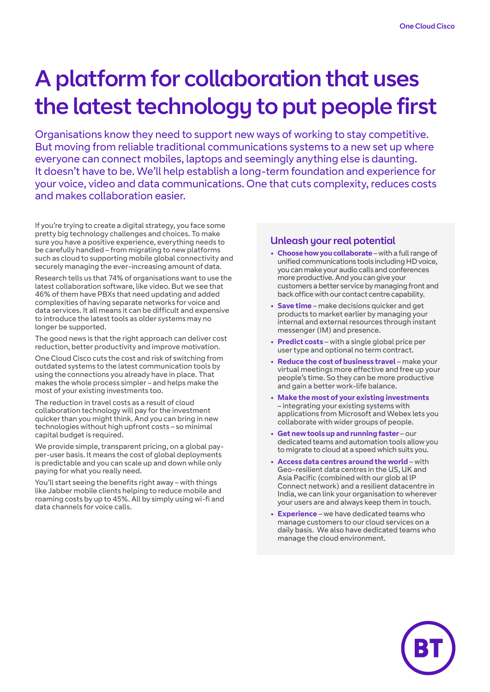# A platform for collaboration that uses the latest technology to put people first

Organisations know they need to support new ways of working to stay competitive. But moving from reliable traditional communications systems to a new set up where everyone can connect mobiles, laptops and seemingly anything else is daunting. It doesn't have to be. We'll help establish a long-term foundation and experience for your voice, video and data communications. One that cuts complexity, reduces costs and makes collaboration easier.

If you're trying to create a digital strategy, you face some pretty big technology challenges and choices. To make sure you have a positive experience, everything needs to be carefully handled – from migrating to new platforms such as cloud to supporting mobile global connectivity and securely managing the ever-increasing amount of data.

Research tells us that 74% of organisations want to use the latest collaboration software, like video. But we see that 46% of them have PBXs that need updating and added complexities of having separate networks for voice and data services. It all means it can be difficult and expensive to introduce the latest tools as older systems may no longer be supported.

The good news is that the right approach can deliver cost reduction, better productivity and improve motivation.

One Cloud Cisco cuts the cost and risk of switching from outdated systems to the latest communication tools by using the connections you already have in place. That makes the whole process simpler – and helps make the most of your existing investments too.

The reduction in travel costs as a result of cloud collaboration technology will pay for the investment quicker than you might think. And you can bring in new technologies without high upfront costs – so minimal capital budget is required.

We provide simple, transparent pricing, on a global payper-user basis. It means the cost of global deployments is predictable and you can scale up and down while only paying for what you really need.

You'll start seeing the benefits right away – with things like Jabber mobile clients helping to reduce mobile and roaming costs by up to 45%. All by simply using wi-fi and data channels for voice calls.

# Unleash your real potential

- **• Choose how you collaborate** with a full range of unified communications tools including HD voice, you can make your audio calls and conferences more productive. And you can give your customers a better service by managing front and back office with our contact centre capability.
- **• Save time** make decisions quicker and get products to market earlier by managing your internal and external resources through instant messenger (IM) and presence.
- **• Predict costs** with a single global price per user type and optional no term contract.
- **• Reduce the cost of business travel** make your virtual meetings more effective and free up your people's time. So they can be more productive and gain a better work-life balance.
- **• Make the most of your existing investments** – integrating your existing systems with applications from Microsoft and Webex lets you collaborate with wider groups of people.
- **• Get new tools up and running faster** our dedicated teams and automation tools allow you to migrate to cloud at a speed which suits you.
- **• Access data centres around the world** with Geo-resilient data centres in the US, UK and Asia Pacific (combined with our glob al IP Connect network) and a resilient datacentre in India, we can link your organisation to wherever your users are and always keep them in touch.
- **• Experience** we have dedicated teams who manage customers to our cloud services on a daily basis. We also have dedicated teams who manage the cloud environment.